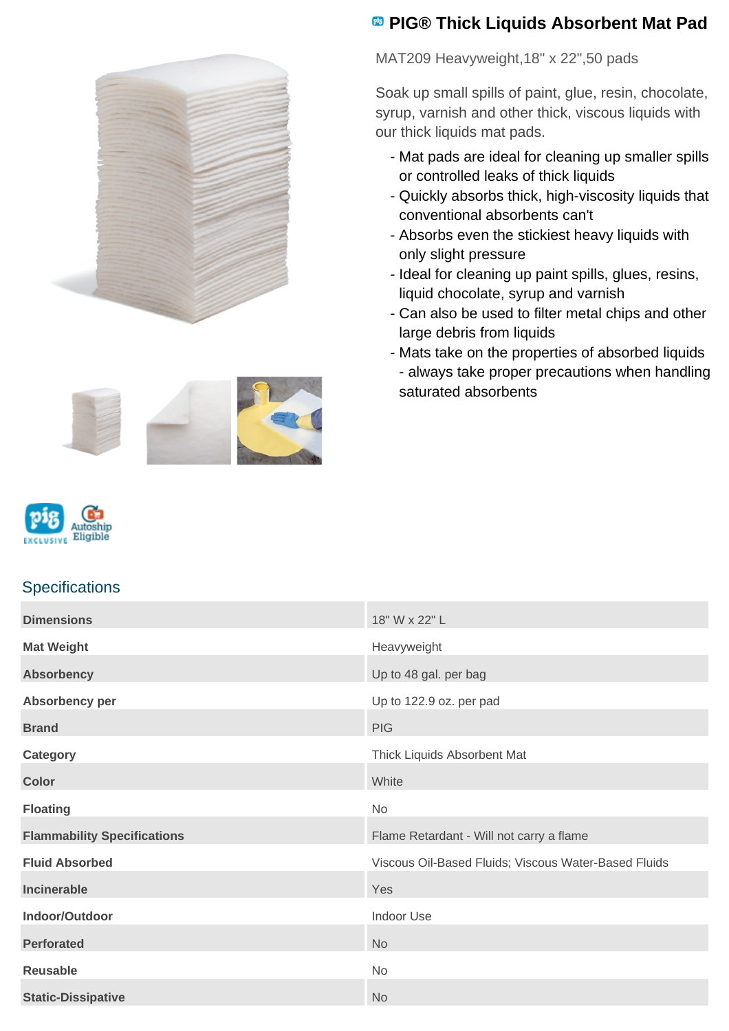



MAT209 Heavyweight,18" x 22",50 pads

Soak up small spills of paint, glue, resin, chocolate, syrup, varnish and other thick, viscous liquids with our thick liquids mat pads.

- Mat pads are ideal for cleaning up smaller spills or controlled leaks of thick liquids
- Quickly absorbs thick, high-viscosity liquids that conventional absorbents can't
- Absorbs even the stickiest heavy liquids with only slight pressure
- Ideal for cleaning up paint spills, glues, resins, liquid chocolate, syrup and varnish
- Can also be used to filter metal chips and other large debris from liquids
- Mats take on the properties of absorbed liquids - always take proper precautions when handling saturated absorbents





## **Specifications**

| <b>Dimensions</b>                  | 18" W x 22" L                                        |
|------------------------------------|------------------------------------------------------|
| <b>Mat Weight</b>                  | Heavyweight                                          |
| <b>Absorbency</b>                  | Up to 48 gal. per bag                                |
| Absorbency per                     | Up to 122.9 oz. per pad                              |
| <b>Brand</b>                       | <b>PIG</b>                                           |
| <b>Category</b>                    | Thick Liquids Absorbent Mat                          |
| <b>Color</b>                       | White                                                |
| <b>Floating</b>                    | No                                                   |
| <b>Flammability Specifications</b> | Flame Retardant - Will not carry a flame             |
| <b>Fluid Absorbed</b>              | Viscous Oil-Based Fluids; Viscous Water-Based Fluids |
| Incinerable                        | Yes                                                  |
| Indoor/Outdoor                     | Indoor Use                                           |
| <b>Perforated</b>                  | <b>No</b>                                            |
| <b>Reusable</b>                    | No                                                   |
| <b>Static-Dissipative</b>          | <b>No</b>                                            |